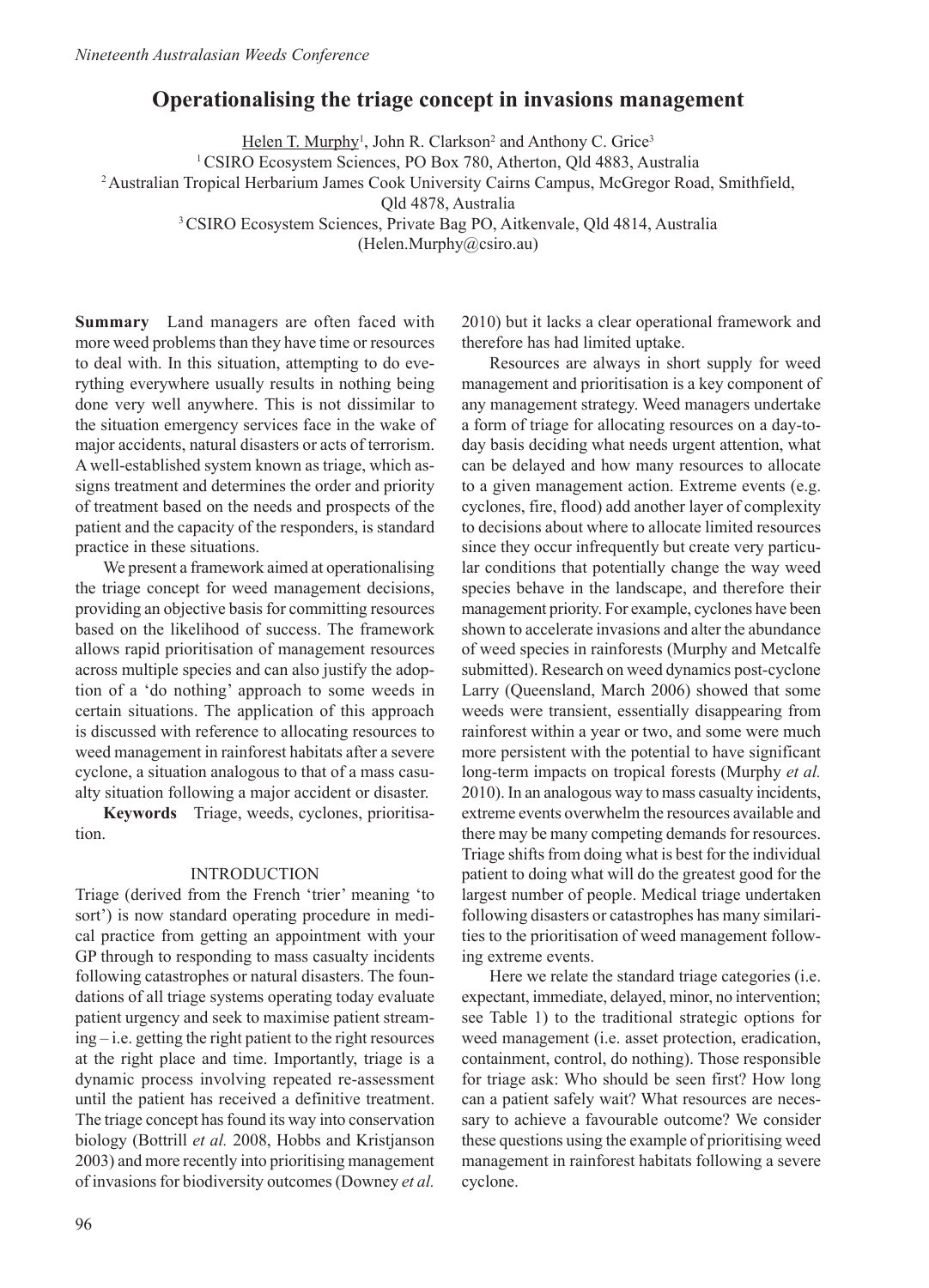# **Operationalising the triage concept in invasions management**

Helen T. Murphy<sup>1</sup>, John R. Clarkson<sup>2</sup> and Anthony C. Grice<sup>3</sup>

<sup>1</sup> CSIRO Ecosystem Sciences, PO Box 780, Atherton, Qld 4883, Australia

2 Australian Tropical Herbarium James Cook University Cairns Campus, McGregor Road, Smithfield,

Qld 4878, Australia

3 CSIRO Ecosystem Sciences, Private Bag PO, Aitkenvale, Qld 4814, Australia

(Helen.Murphy@csiro.au)

**Summary** Land managers are often faced with more weed problems than they have time or resources to deal with. In this situation, attempting to do everything everywhere usually results in nothing being done very well anywhere. This is not dissimilar to the situation emergency services face in the wake of major accidents, natural disasters or acts of terrorism. A well-established system known as triage, which assigns treatment and determines the order and priority of treatment based on the needs and prospects of the patient and the capacity of the responders, is standard practice in these situations.

We present a framework aimed at operationalising the triage concept for weed management decisions, providing an objective basis for committing resources based on the likelihood of success. The framework allows rapid prioritisation of management resources across multiple species and can also justify the adoption of a 'do nothing' approach to some weeds in certain situations. The application of this approach is discussed with reference to allocating resources to weed management in rainforest habitats after a severe cyclone, a situation analogous to that of a mass casualty situation following a major accident or disaster.

**Keywords** Triage, weeds, cyclones, prioritisation.

## INTRODUCTION

Triage (derived from the French 'trier' meaning 'to sort') is now standard operating procedure in medical practice from getting an appointment with your GP through to responding to mass casualty incidents following catastrophes or natural disasters. The foundations of all triage systems operating today evaluate patient urgency and seek to maximise patient streaming – i.e. getting the right patient to the right resources at the right place and time. Importantly, triage is a dynamic process involving repeated re-assessment until the patient has received a definitive treatment. The triage concept has found its way into conservation biology (Bottrill *et al.* 2008, Hobbs and Kristjanson 2003) and more recently into prioritising management of invasions for biodiversity outcomes (Downey *et al.* 2010) but it lacks a clear operational framework and therefore has had limited uptake.

Resources are always in short supply for weed management and prioritisation is a key component of any management strategy. Weed managers undertake a form of triage for allocating resources on a day-today basis deciding what needs urgent attention, what can be delayed and how many resources to allocate to a given management action. Extreme events (e.g. cyclones, fire, flood) add another layer of complexity to decisions about where to allocate limited resources since they occur infrequently but create very particular conditions that potentially change the way weed species behave in the landscape, and therefore their management priority. For example, cyclones have been shown to accelerate invasions and alter the abundance of weed species in rainforests (Murphy and Metcalfe submitted). Research on weed dynamics post-cyclone Larry (Queensland, March 2006) showed that some weeds were transient, essentially disappearing from rainforest within a year or two, and some were much more persistent with the potential to have significant long-term impacts on tropical forests (Murphy *et al.* 2010). In an analogous way to mass casualty incidents, extreme events overwhelm the resources available and there may be many competing demands for resources. Triage shifts from doing what is best for the individual patient to doing what will do the greatest good for the largest number of people. Medical triage undertaken following disasters or catastrophes has many similarities to the prioritisation of weed management following extreme events.

Here we relate the standard triage categories (i.e. expectant, immediate, delayed, minor, no intervention; see Table 1) to the traditional strategic options for weed management (i.e. asset protection, eradication, containment, control, do nothing). Those responsible for triage ask: Who should be seen first? How long can a patient safely wait? What resources are necessary to achieve a favourable outcome? We consider these questions using the example of prioritising weed management in rainforest habitats following a severe cyclone.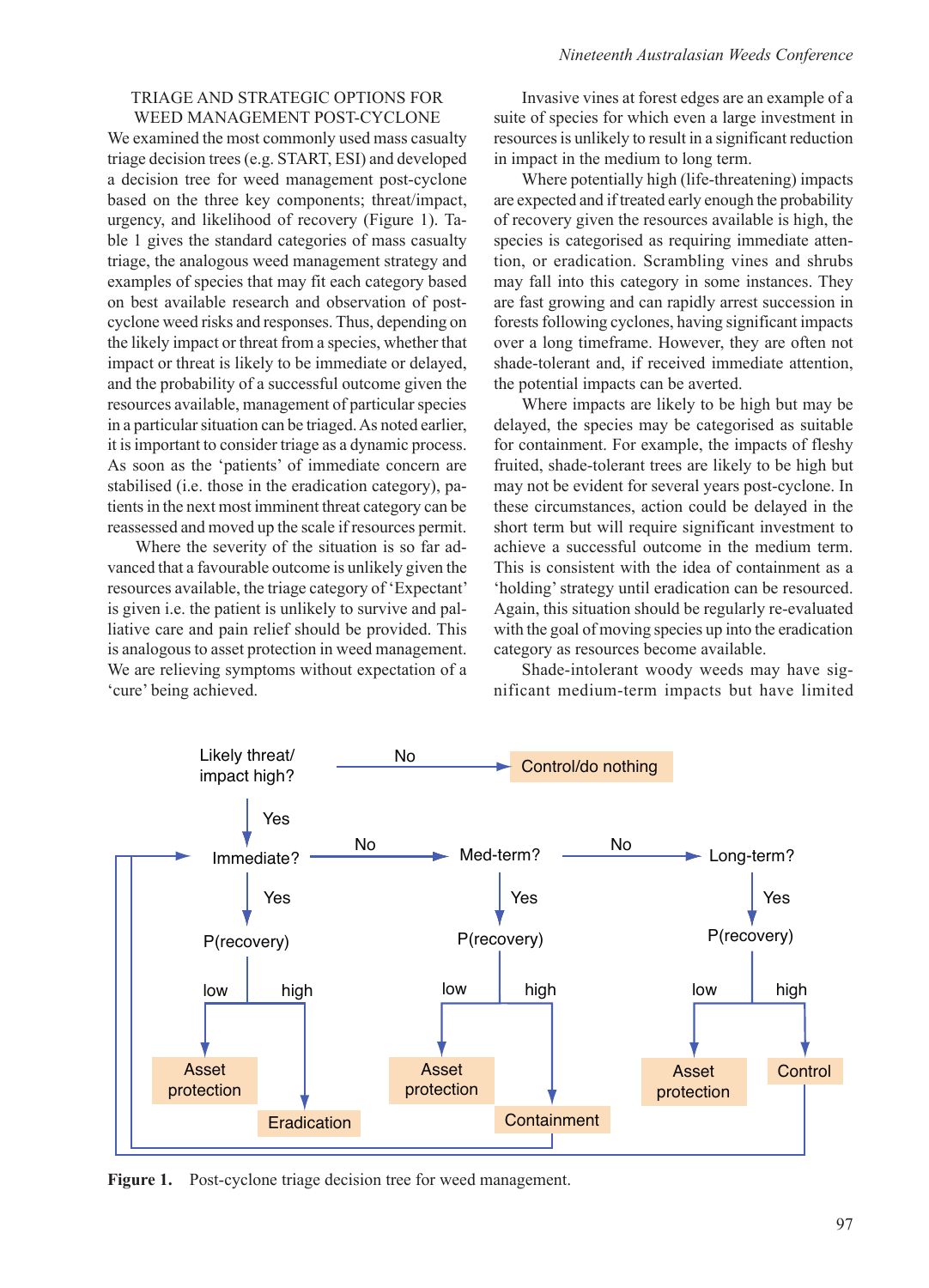#### TRIAGE AND STRATEGIC OPTIONS FOR WEED MANAGEMENT POST-CYCLONE

We examined the most commonly used mass casualty triage decision trees (e.g. START, ESI) and developed a decision tree for weed management post-cyclone based on the three key components; threat/impact, urgency, and likelihood of recovery (Figure 1). Table 1 gives the standard categories of mass casualty triage, the analogous weed management strategy and examples of species that may fit each category based on best available research and observation of postcyclone weed risks and responses. Thus, depending on the likely impact or threat from a species, whether that impact or threat is likely to be immediate or delayed, and the probability of a successful outcome given the resources available, management of particular species in a particular situation can be triaged. As noted earlier, it is important to consider triage as a dynamic process. As soon as the 'patients' of immediate concern are stabilised (i.e. those in the eradication category), patients in the next most imminent threat category can be reassessed and moved up the scale if resources permit.

Where the severity of the situation is so far advanced that a favourable outcome is unlikely given the resources available, the triage category of 'Expectant' is given i.e. the patient is unlikely to survive and palliative care and pain relief should be provided. This is analogous to asset protection in weed management. We are relieving symptoms without expectation of a 'cure' being achieved.

Invasive vines at forest edges are an example of a suite of species for which even a large investment in resources is unlikely to result in a significant reduction in impact in the medium to long term.

Where potentially high (life-threatening) impacts are expected and if treated early enough the probability of recovery given the resources available is high, the species is categorised as requiring immediate attention, or eradication. Scrambling vines and shrubs may fall into this category in some instances. They are fast growing and can rapidly arrest succession in forests following cyclones, having significant impacts over a long timeframe. However, they are often not shade-tolerant and, if received immediate attention, the potential impacts can be averted.

Where impacts are likely to be high but may be delayed, the species may be categorised as suitable for containment. For example, the impacts of fleshy fruited, shade-tolerant trees are likely to be high but may not be evident for several years post-cyclone. In these circumstances, action could be delayed in the short term but will require significant investment to achieve a successful outcome in the medium term. This is consistent with the idea of containment as a 'holding' strategy until eradication can be resourced. Again, this situation should be regularly re-evaluated with the goal of moving species up into the eradication category as resources become available.

Shade-intolerant woody weeds may have significant medium-term impacts but have limited



Figure 1. Post-cyclone triage decision tree for weed management.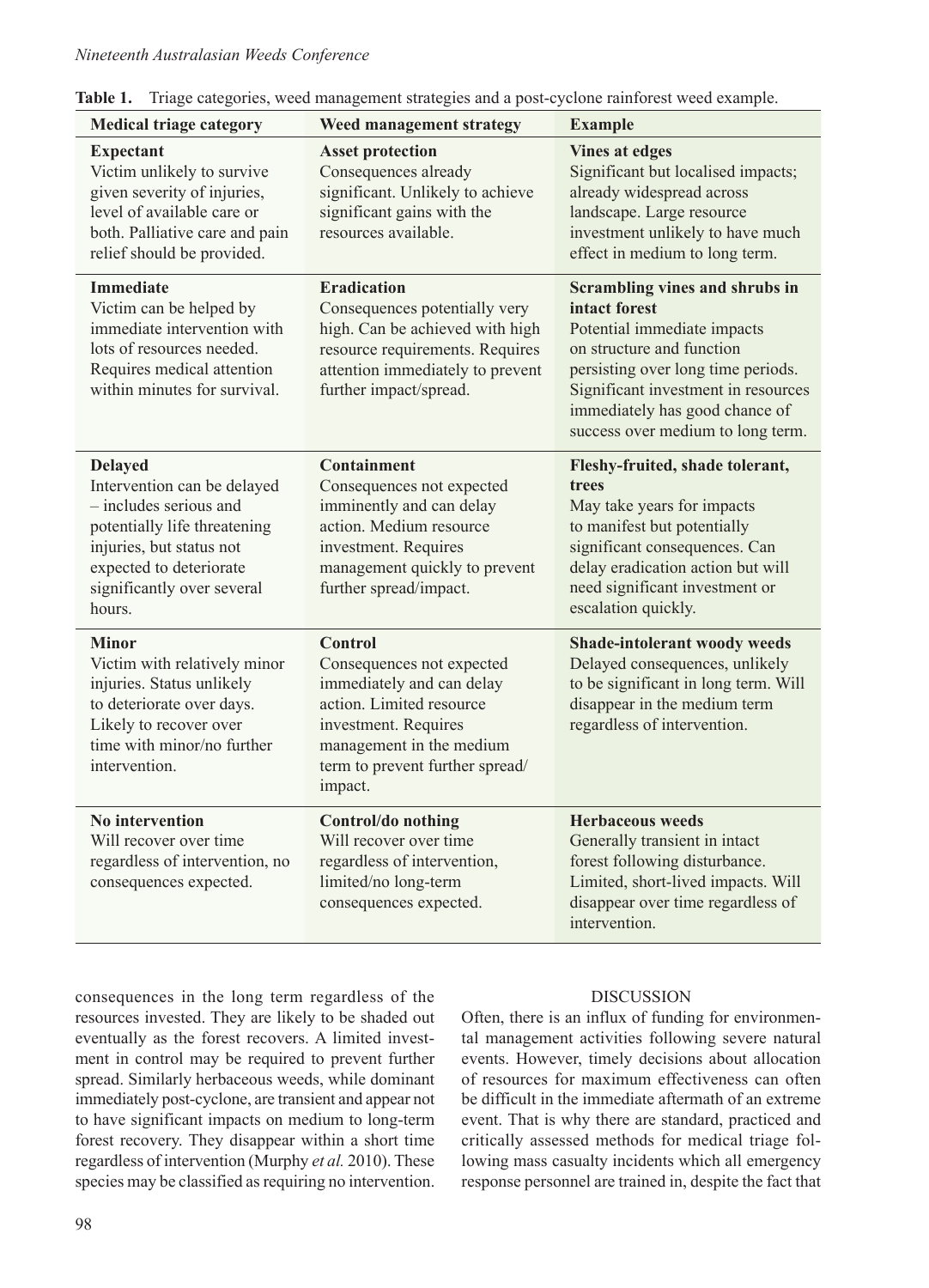| LAVIC 1.<br>Triage categories, weed management strategies and a post-cyclone rannolest weed example.                                                                                                   |                                                                                                                                                                                                        |                                                                                                                                                                                                                                                                 |
|--------------------------------------------------------------------------------------------------------------------------------------------------------------------------------------------------------|--------------------------------------------------------------------------------------------------------------------------------------------------------------------------------------------------------|-----------------------------------------------------------------------------------------------------------------------------------------------------------------------------------------------------------------------------------------------------------------|
| <b>Medical triage category</b>                                                                                                                                                                         | Weed management strategy                                                                                                                                                                               | <b>Example</b>                                                                                                                                                                                                                                                  |
| <b>Expectant</b><br>Victim unlikely to survive<br>given severity of injuries,<br>level of available care or<br>both. Palliative care and pain<br>relief should be provided.                            | <b>Asset protection</b><br>Consequences already<br>significant. Unlikely to achieve<br>significant gains with the<br>resources available.                                                              | <b>Vines at edges</b><br>Significant but localised impacts;<br>already widespread across<br>landscape. Large resource<br>investment unlikely to have much<br>effect in medium to long term.                                                                     |
| <b>Immediate</b><br>Victim can be helped by<br>immediate intervention with<br>lots of resources needed.<br>Requires medical attention<br>within minutes for survival.                                  | <b>Eradication</b><br>Consequences potentially very<br>high. Can be achieved with high<br>resource requirements. Requires<br>attention immediately to prevent<br>further impact/spread.                | Scrambling vines and shrubs in<br>intact forest<br>Potential immediate impacts<br>on structure and function<br>persisting over long time periods.<br>Significant investment in resources<br>immediately has good chance of<br>success over medium to long term. |
| <b>Delayed</b><br>Intervention can be delayed<br>- includes serious and<br>potentially life threatening<br>injuries, but status not<br>expected to deteriorate<br>significantly over several<br>hours. | <b>Containment</b><br>Consequences not expected<br>imminently and can delay<br>action. Medium resource<br>investment. Requires<br>management quickly to prevent<br>further spread/impact.              | Fleshy-fruited, shade tolerant,<br>trees<br>May take years for impacts<br>to manifest but potentially<br>significant consequences. Can<br>delay eradication action but will<br>need significant investment or<br>escalation quickly.                            |
| <b>Minor</b><br>Victim with relatively minor<br>injuries. Status unlikely<br>to deteriorate over days.<br>Likely to recover over<br>time with minor/no further<br>intervention.                        | <b>Control</b><br>Consequences not expected<br>immediately and can delay<br>action. Limited resource<br>investment. Requires<br>management in the medium<br>term to prevent further spread/<br>impact. | Shade-intolerant woody weeds<br>Delayed consequences, unlikely<br>to be significant in long term. Will<br>disappear in the medium term<br>regardless of intervention.                                                                                           |
| <b>No intervention</b><br>Will recover over time<br>regardless of intervention, no<br>consequences expected.                                                                                           | Control/do nothing<br>Will recover over time<br>regardless of intervention,<br>limited/no long-term<br>consequences expected.                                                                          | <b>Herbaceous weeds</b><br>Generally transient in intact<br>forest following disturbance.<br>Limited, short-lived impacts. Will<br>disappear over time regardless of<br>intervention.                                                                           |

**Table 1.** Triage categories, weed management strategies and a post-cyclone rainforest weed example.

consequences in the long term regardless of the resources invested. They are likely to be shaded out eventually as the forest recovers. A limited investment in control may be required to prevent further spread. Similarly herbaceous weeds, while dominant immediately post-cyclone, are transient and appear not to have significant impacts on medium to long-term forest recovery. They disappear within a short time regardless of intervention (Murphy *et al.* 2010). These species may be classified as requiring no intervention.

## DISCUSSION

Often, there is an influx of funding for environmental management activities following severe natural events. However, timely decisions about allocation of resources for maximum effectiveness can often be difficult in the immediate aftermath of an extreme event. That is why there are standard, practiced and critically assessed methods for medical triage following mass casualty incidents which all emergency response personnel are trained in, despite the fact that